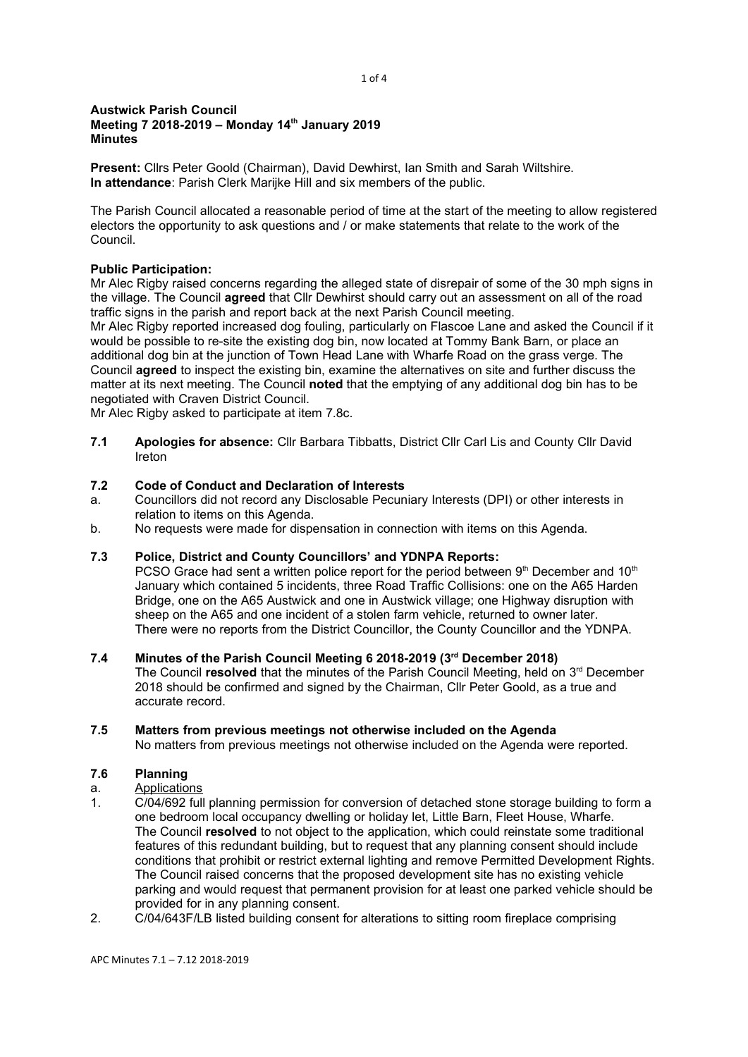#### 1 of 4

#### Austwick Parish Council Meeting 7 2018-2019 – Monday 14<sup>th</sup> January 2019 **Minutes**

Present: Cllrs Peter Goold (Chairman), David Dewhirst, Ian Smith and Sarah Wiltshire. In attendance: Parish Clerk Marijke Hill and six members of the public.

The Parish Council allocated a reasonable period of time at the start of the meeting to allow registered electors the opportunity to ask questions and / or make statements that relate to the work of the Council.

### Public Participation:

Mr Alec Rigby raised concerns regarding the alleged state of disrepair of some of the 30 mph signs in the village. The Council agreed that Cllr Dewhirst should carry out an assessment on all of the road traffic signs in the parish and report back at the next Parish Council meeting.

Mr Alec Rigby reported increased dog fouling, particularly on Flascoe Lane and asked the Council if it would be possible to re-site the existing dog bin, now located at Tommy Bank Barn, or place an additional dog bin at the junction of Town Head Lane with Wharfe Road on the grass verge. The Council agreed to inspect the existing bin, examine the alternatives on site and further discuss the matter at its next meeting. The Council noted that the emptying of any additional dog bin has to be negotiated with Craven District Council.

Mr Alec Rigby asked to participate at item 7.8c.

7.1 Apologies for absence: Cllr Barbara Tibbatts, District Cllr Carl Lis and County Cllr David Ireton

#### 7.2 Code of Conduct and Declaration of Interests

- a. Councillors did not record any Disclosable Pecuniary Interests (DPI) or other interests in relation to items on this Agenda.
- b. No requests were made for dispensation in connection with items on this Agenda.

## 7.3 Police, District and County Councillors' and YDNPA Reports:

PCSO Grace had sent a written police report for the period between  $9<sup>th</sup>$  December and 10<sup>th</sup> January which contained 5 incidents, three Road Traffic Collisions: one on the A65 Harden Bridge, one on the A65 Austwick and one in Austwick village; one Highway disruption with sheep on the A65 and one incident of a stolen farm vehicle, returned to owner later. There were no reports from the District Councillor, the County Councillor and the YDNPA.

### 7.4 Minutes of the Parish Council Meeting 6 2018-2019 (3rd December 2018)

The Council resolved that the minutes of the Parish Council Meeting, held on  $3<sup>rd</sup>$  December 2018 should be confirmed and signed by the Chairman, Cllr Peter Goold, as a true and accurate record.

#### 7.5 Matters from previous meetings not otherwise included on the Agenda

No matters from previous meetings not otherwise included on the Agenda were reported.

## 7.6 Planning

- a. Applications<br>1. C/04/692 full
- C/04/692 full planning permission for conversion of detached stone storage building to form a one bedroom local occupancy dwelling or holiday let, Little Barn, Fleet House, Wharfe. The Council resolved to not object to the application, which could reinstate some traditional features of this redundant building, but to request that any planning consent should include conditions that prohibit or restrict external lighting and remove Permitted Development Rights. The Council raised concerns that the proposed development site has no existing vehicle parking and would request that permanent provision for at least one parked vehicle should be provided for in any planning consent.
- 2. C/04/643F/LB listed building consent for alterations to sitting room fireplace comprising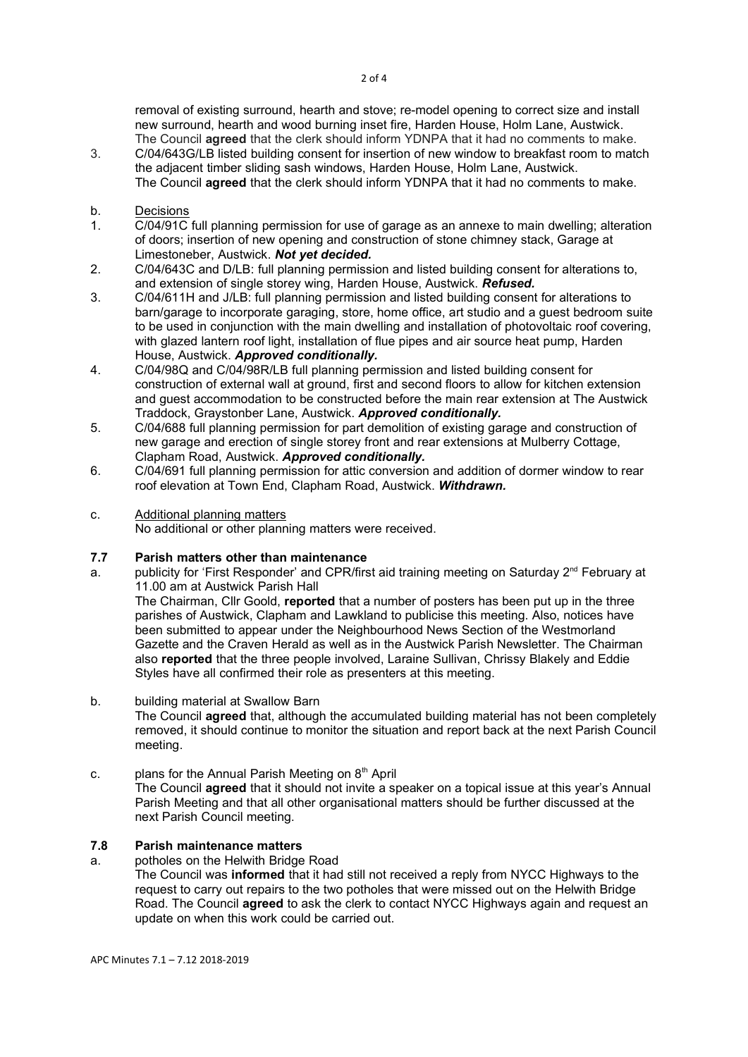removal of existing surround, hearth and stove; re-model opening to correct size and install new surround, hearth and wood burning inset fire, Harden House, Holm Lane, Austwick. The Council agreed that the clerk should inform YDNPA that it had no comments to make.

3. C/04/643G/LB listed building consent for insertion of new window to breakfast room to match the adjacent timber sliding sash windows, Harden House, Holm Lane, Austwick. The Council agreed that the clerk should inform YDNPA that it had no comments to make.

# b. Decisions<br>1. C/04/91C

- 1. C/04/91C full planning permission for use of garage as an annexe to main dwelling; alteration of doors; insertion of new opening and construction of stone chimney stack, Garage at Limestoneber, Austwick. Not yet decided.
- 2. C/04/643C and D/LB: full planning permission and listed building consent for alterations to, and extension of single storey wing, Harden House, Austwick. Refused.
- 3. C/04/611H and J/LB: full planning permission and listed building consent for alterations to barn/garage to incorporate garaging, store, home office, art studio and a guest bedroom suite to be used in conjunction with the main dwelling and installation of photovoltaic roof covering, with glazed lantern roof light, installation of flue pipes and air source heat pump, Harden House, Austwick. Approved conditionally.
- 4. C/04/98Q and C/04/98R/LB full planning permission and listed building consent for construction of external wall at ground, first and second floors to allow for kitchen extension and guest accommodation to be constructed before the main rear extension at The Austwick Traddock, Graystonber Lane, Austwick. Approved conditionally.
- 5. C/04/688 full planning permission for part demolition of existing garage and construction of new garage and erection of single storey front and rear extensions at Mulberry Cottage, Clapham Road, Austwick. Approved conditionally.
- 6. C/04/691 full planning permission for attic conversion and addition of dormer window to rear roof elevation at Town End, Clapham Road, Austwick. Withdrawn.

### c. Additional planning matters

No additional or other planning matters were received.

## 7.7 Parish matters other than maintenance

a. publicity for 'First Responder' and CPR/first aid training meeting on Saturday 2<sup>nd</sup> February at 11.00 am at Austwick Parish Hall

The Chairman, Cllr Goold, reported that a number of posters has been put up in the three parishes of Austwick, Clapham and Lawkland to publicise this meeting. Also, notices have been submitted to appear under the Neighbourhood News Section of the Westmorland Gazette and the Craven Herald as well as in the Austwick Parish Newsletter. The Chairman also reported that the three people involved, Laraine Sullivan, Chrissy Blakely and Eddie Styles have all confirmed their role as presenters at this meeting.

#### b. building material at Swallow Barn

The Council **agreed** that, although the accumulated building material has not been completely removed, it should continue to monitor the situation and report back at the next Parish Council meeting.

c. plans for the Annual Parish Meeting on  $8<sup>th</sup>$  April

The Council agreed that it should not invite a speaker on a topical issue at this year's Annual Parish Meeting and that all other organisational matters should be further discussed at the next Parish Council meeting.

## 7.8 Parish maintenance matters

- a. potholes on the Helwith Bridge Road
	- The Council was informed that it had still not received a reply from NYCC Highways to the request to carry out repairs to the two potholes that were missed out on the Helwith Bridge Road. The Council agreed to ask the clerk to contact NYCC Highways again and request an update on when this work could be carried out.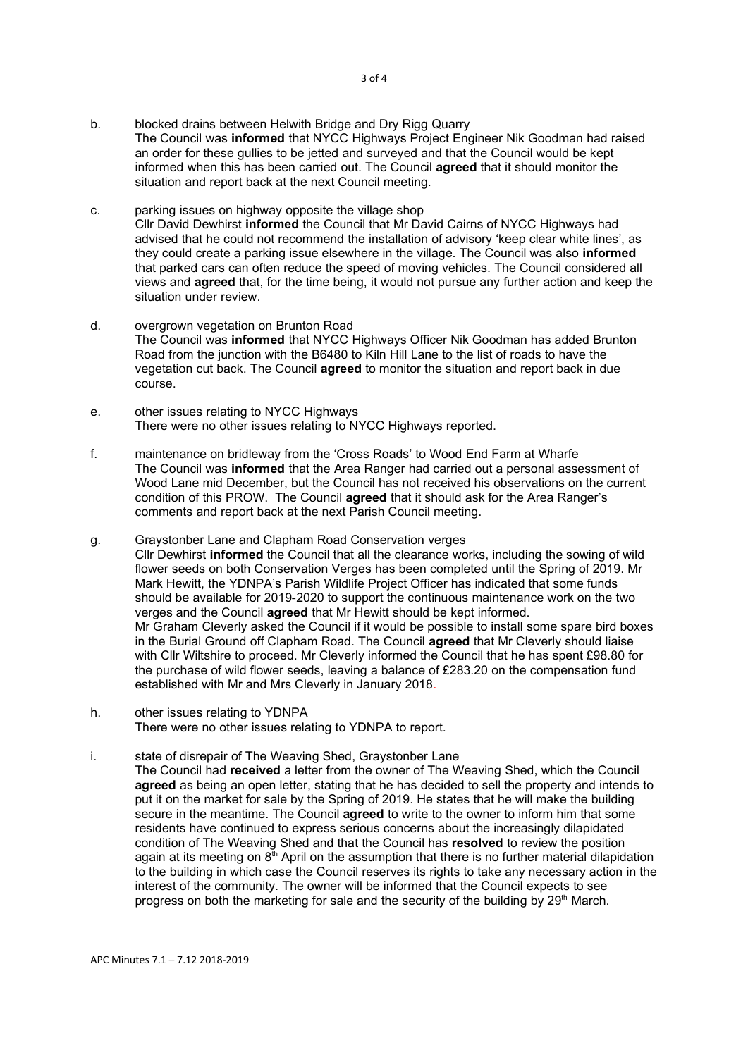- b. blocked drains between Helwith Bridge and Dry Rigg Quarry The Council was informed that NYCC Highways Project Engineer Nik Goodman had raised an order for these gullies to be jetted and surveyed and that the Council would be kept informed when this has been carried out. The Council agreed that it should monitor the situation and report back at the next Council meeting.
- c. parking issues on highway opposite the village shop Cllr David Dewhirst informed the Council that Mr David Cairns of NYCC Highways had advised that he could not recommend the installation of advisory 'keep clear white lines', as they could create a parking issue elsewhere in the village. The Council was also informed that parked cars can often reduce the speed of moving vehicles. The Council considered all views and agreed that, for the time being, it would not pursue any further action and keep the situation under review.
- d. overgrown vegetation on Brunton Road The Council was informed that NYCC Highways Officer Nik Goodman has added Brunton Road from the junction with the B6480 to Kiln Hill Lane to the list of roads to have the vegetation cut back. The Council **agreed** to monitor the situation and report back in due course.
- e. other issues relating to NYCC Highways There were no other issues relating to NYCC Highways reported.
- f. maintenance on bridleway from the 'Cross Roads' to Wood End Farm at Wharfe The Council was informed that the Area Ranger had carried out a personal assessment of Wood Lane mid December, but the Council has not received his observations on the current condition of this PROW. The Council agreed that it should ask for the Area Ranger's comments and report back at the next Parish Council meeting.
- g. Graystonber Lane and Clapham Road Conservation verges Cllr Dewhirst informed the Council that all the clearance works, including the sowing of wild flower seeds on both Conservation Verges has been completed until the Spring of 2019. Mr Mark Hewitt, the YDNPA's Parish Wildlife Project Officer has indicated that some funds should be available for 2019-2020 to support the continuous maintenance work on the two verges and the Council agreed that Mr Hewitt should be kept informed. Mr Graham Cleverly asked the Council if it would be possible to install some spare bird boxes in the Burial Ground off Clapham Road. The Council **agreed** that Mr Cleverly should liaise with Cllr Wiltshire to proceed. Mr Cleverly informed the Council that he has spent £98.80 for the purchase of wild flower seeds, leaving a balance of £283.20 on the compensation fund established with Mr and Mrs Cleverly in January 2018.
- h. other issues relating to YDNPA There were no other issues relating to YDNPA to report.
- i. state of disrepair of The Weaving Shed, Graystonber Lane The Council had received a letter from the owner of The Weaving Shed, which the Council agreed as being an open letter, stating that he has decided to sell the property and intends to put it on the market for sale by the Spring of 2019. He states that he will make the building secure in the meantime. The Council **agreed** to write to the owner to inform him that some residents have continued to express serious concerns about the increasingly dilapidated condition of The Weaving Shed and that the Council has resolved to review the position again at its meeting on  $8<sup>th</sup>$  April on the assumption that there is no further material dilapidation to the building in which case the Council reserves its rights to take any necessary action in the interest of the community. The owner will be informed that the Council expects to see progress on both the marketing for sale and the security of the building by  $29<sup>th</sup>$  March.